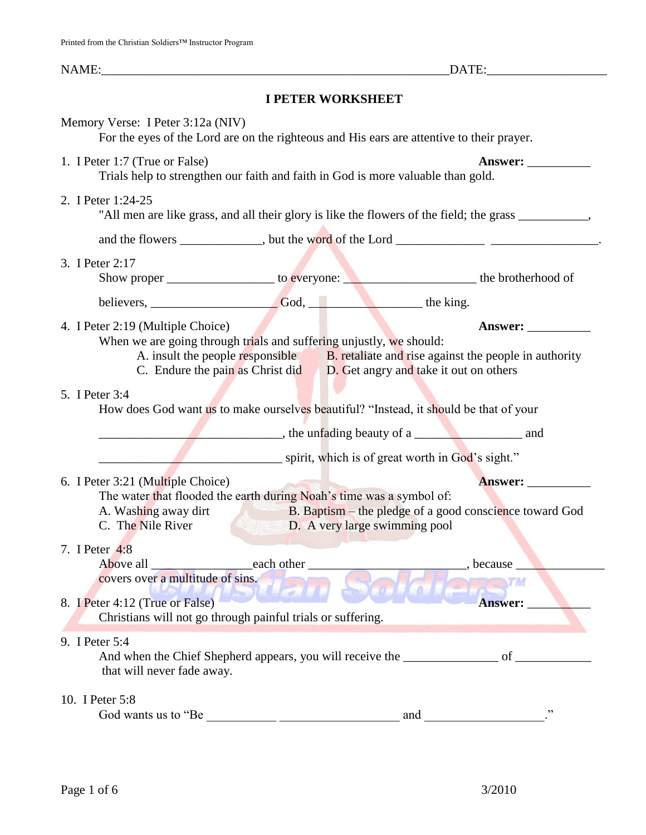# **I PETER WORKSHEET**

| Memory Verse: I Peter 3:12a (NIV)                                                                                                                                                                                                                                                               | For the eyes of the Lord are on the righteous and His ears are attentive to their prayer. |                               |                                                                                         |  |
|-------------------------------------------------------------------------------------------------------------------------------------------------------------------------------------------------------------------------------------------------------------------------------------------------|-------------------------------------------------------------------------------------------|-------------------------------|-----------------------------------------------------------------------------------------|--|
| 1. I Peter 1:7 (True or False)                                                                                                                                                                                                                                                                  | Trials help to strengthen our faith and faith in God is more valuable than gold.          |                               | Answer:                                                                                 |  |
| 2. I Peter 1:24-25<br>"All men are like grass, and all their glory is like the flowers of the field; the grass ___________,                                                                                                                                                                     |                                                                                           |                               |                                                                                         |  |
|                                                                                                                                                                                                                                                                                                 |                                                                                           |                               | and the flowers _____________, but the word of the Lord ______________________________. |  |
| 3. I Peter 2:17                                                                                                                                                                                                                                                                                 |                                                                                           |                               |                                                                                         |  |
|                                                                                                                                                                                                                                                                                                 |                                                                                           |                               |                                                                                         |  |
| 4. I Peter 2:19 (Multiple Choice)<br>Answer:<br>When we are going through trials and suffering unjustly, we should:<br>A. insult the people responsible <b>B.</b> retaliate and rise against the people in authority<br>C. Endure the pain as Christ did D. Get angry and take it out on others |                                                                                           |                               |                                                                                         |  |
| 5. I Peter 3:4<br>How does God want us to make ourselves beautiful? "Instead, it should be that of your<br>the unfading beauty of a and and                                                                                                                                                     |                                                                                           |                               |                                                                                         |  |
|                                                                                                                                                                                                                                                                                                 | spirit, which is of great worth in God's sight."                                          |                               |                                                                                         |  |
| 6. I Peter 3:21 (Multiple Choice)<br>A. Washing away dirt<br>C. The Nile River                                                                                                                                                                                                                  | The water that flooded the earth during Noah's time was a symbol of:                      | D. A very large swimming pool | Answer:<br>B. Baptism – the pledge of a good conscience toward God                      |  |
| 7. I Peter 4:8                                                                                                                                                                                                                                                                                  | Above all each other<br>covers over a multitude of sins.<br><b>WEDIN MACHIN</b>           |                               | $\qquad \qquad$ , because                                                               |  |
| 8. I Peter 4:12 (True or False)<br>Answer:<br>Christians will not go through painful trials or suffering.                                                                                                                                                                                       |                                                                                           |                               |                                                                                         |  |
| 9. I Peter 5:4<br>that will never fade away.                                                                                                                                                                                                                                                    |                                                                                           |                               |                                                                                         |  |
| 10. I Peter 5:8                                                                                                                                                                                                                                                                                 |                                                                                           |                               |                                                                                         |  |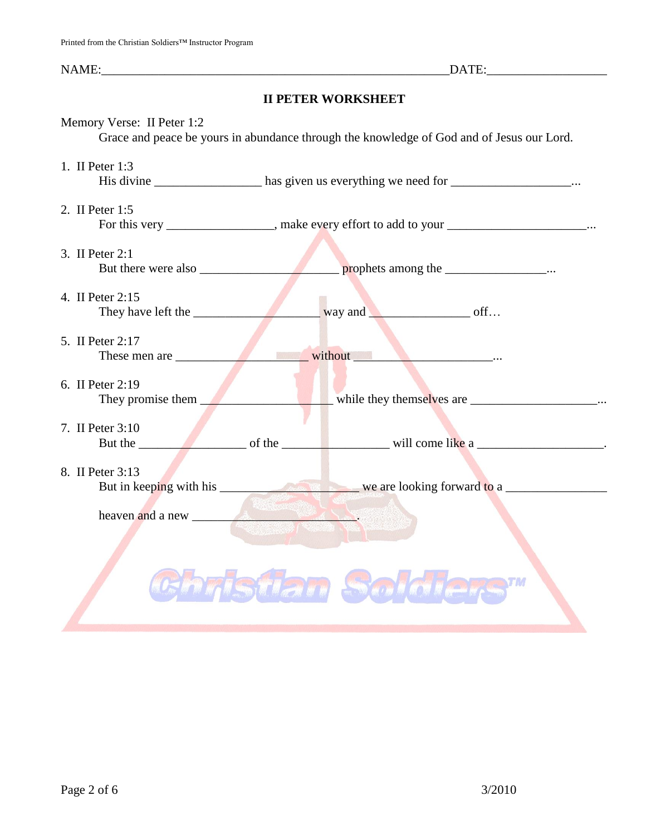# **II PETER WORKSHEET**

| Memory Verse: II Peter 1:2             |                                                                                                                                                                                                                                |  |  |  |                       |
|----------------------------------------|--------------------------------------------------------------------------------------------------------------------------------------------------------------------------------------------------------------------------------|--|--|--|-----------------------|
|                                        | Grace and peace be yours in abundance through the knowledge of God and of Jesus our Lord.                                                                                                                                      |  |  |  |                       |
| 1. II Peter 1:3                        |                                                                                                                                                                                                                                |  |  |  |                       |
|                                        | His divine ___________________ has given us everything we need for __________________                                                                                                                                          |  |  |  |                       |
| 2. II Peter 1:5                        |                                                                                                                                                                                                                                |  |  |  |                       |
|                                        | For this very ________________, make every effort to add to your ___________________                                                                                                                                           |  |  |  |                       |
|                                        |                                                                                                                                                                                                                                |  |  |  |                       |
| 3. II Peter 2:1                        |                                                                                                                                                                                                                                |  |  |  |                       |
|                                        |                                                                                                                                                                                                                                |  |  |  |                       |
| 4. II Peter 2:15                       |                                                                                                                                                                                                                                |  |  |  |                       |
| They have left the way and way and off |                                                                                                                                                                                                                                |  |  |  |                       |
|                                        |                                                                                                                                                                                                                                |  |  |  |                       |
| 5. II Peter 2:17                       |                                                                                                                                                                                                                                |  |  |  |                       |
| These men are                          | without Manuscript Communications of the Communication of the Communication of the Communication of the Communication of the Communication of the Communication of the Communication of the Communication of the Communication |  |  |  |                       |
| 6. II Peter 2:19                       |                                                                                                                                                                                                                                |  |  |  |                       |
| They promise them                      | while they themselves are _____________________.                                                                                                                                                                               |  |  |  |                       |
|                                        |                                                                                                                                                                                                                                |  |  |  |                       |
| 7. II Peter 3:10                       |                                                                                                                                                                                                                                |  |  |  |                       |
|                                        |                                                                                                                                                                                                                                |  |  |  |                       |
| 8. II Peter 3:13                       |                                                                                                                                                                                                                                |  |  |  |                       |
|                                        |                                                                                                                                                                                                                                |  |  |  |                       |
|                                        |                                                                                                                                                                                                                                |  |  |  |                       |
|                                        |                                                                                                                                                                                                                                |  |  |  |                       |
|                                        |                                                                                                                                                                                                                                |  |  |  |                       |
|                                        |                                                                                                                                                                                                                                |  |  |  | <b>DASTAR Sciolar</b> |
|                                        |                                                                                                                                                                                                                                |  |  |  |                       |
|                                        |                                                                                                                                                                                                                                |  |  |  |                       |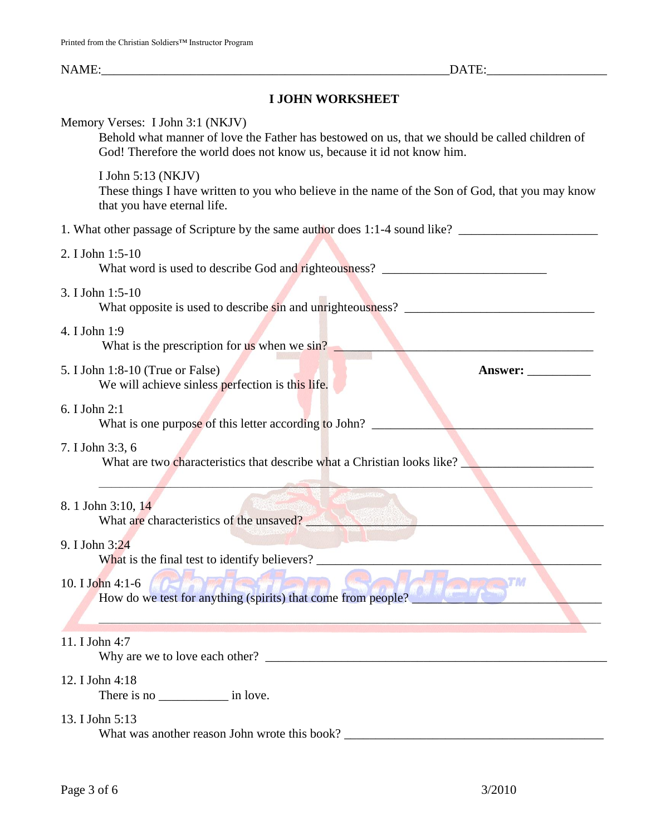# **I JOHN WORKSHEET**

| Memory Verses: I John 3:1 (NKJV)<br>Behold what manner of love the Father has bestowed on us, that we should be called children of<br>God! Therefore the world does not know us, because it id not know him. |
|--------------------------------------------------------------------------------------------------------------------------------------------------------------------------------------------------------------|
| I John 5:13 (NKJV)<br>These things I have written to you who believe in the name of the Son of God, that you may know<br>that you have eternal life.                                                         |
| 1. What other passage of Scripture by the same author does 1:1-4 sound like? _______________________                                                                                                         |
| 2. I John 1:5-10                                                                                                                                                                                             |
| 3. I John 1:5-10<br>What opposite is used to describe sin and unrighteousness? ______________________                                                                                                        |
| 4. I John 1:9<br>What is the prescription for $\frac{1}{18}$ when we sin?                                                                                                                                    |
| 5. I John 1:8-10 (True or False)<br>Answer:<br>We will achieve sinless perfection is this life.                                                                                                              |
| 6. I John 2:1<br>What is one purpose of this letter according to John?                                                                                                                                       |
| 7. I John 3:3, 6<br>What are two characteristics that describe what a Christian looks like?                                                                                                                  |
| 8. 1 John 3:10, 14<br>What are characteristics of the unsaved?                                                                                                                                               |
| 9. I John 3:24<br>What is the final test to identify believers?                                                                                                                                              |
| TM<br>How do we test for anything (spirits) that come from people?                                                                                                                                           |
| 11. I John 4:7                                                                                                                                                                                               |
| 12. I John 4:18                                                                                                                                                                                              |
| 13. I John 5:13<br>What was another reason John wrote this book?                                                                                                                                             |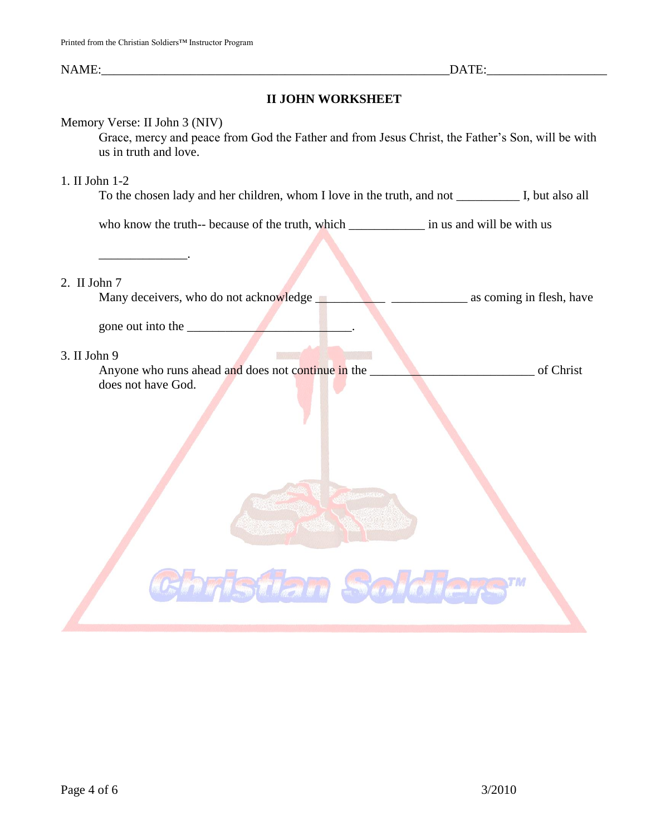# **II JOHN WORKSHEET**

# Memory Verse: II John 3 (NIV)

Grace, mercy and peace from God the Father and from Jesus Christ, the Father's Son, will be with us in truth and love.

### 1. II John 1-2

To the chosen lady and her children, whom I love in the truth, and not \_\_\_\_\_\_\_\_\_\_ I, but also all

who know the truth-- because of the truth, which \_\_\_\_\_\_\_\_\_\_\_\_\_\_\_\_ in us and will be with us

#### 2. II John 7

Many deceivers, who do not acknowledge \_\_\_\_\_\_\_\_\_\_\_ \_\_\_\_\_\_\_\_\_\_\_\_ as coming in flesh, have

gone out into the

 $\overline{\phantom{a}}$  , where  $\overline{\phantom{a}}$ 

# 3. II John 9

Anyone who runs ahead and does not continue in the **EXECUTE 2008** of Christ does not have God.

Tsüan Sold

TM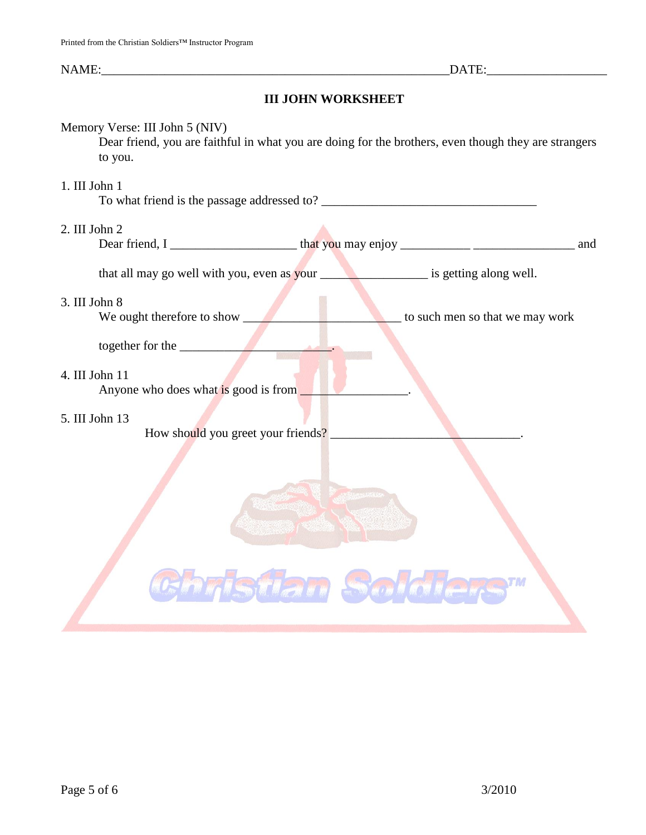# **III JOHN WORKSHEET**

### Memory Verse: III John 5 (NIV)

Dear friend, you are faithful in what you are doing for the brothers, even though they are strangers to you.

## 1. III John 1

To what friend is the passage addressed to? \_\_\_\_\_\_\_\_\_\_\_\_\_\_\_\_\_\_\_\_\_\_\_\_\_\_\_\_\_\_\_\_\_\_ 2. III John 2 Dear friend, I \_\_\_\_\_\_\_\_\_\_\_\_\_\_\_\_\_\_\_\_ that you may enjoy \_\_\_\_\_\_\_\_\_\_\_ \_\_\_\_\_\_\_\_\_\_\_\_\_\_\_\_ and that all may go well with you, even as your interest is getting along well. 3. III John 8 We ought therefore to show \_\_\_\_\_\_\_\_\_\_\_\_\_\_\_\_\_\_\_\_\_\_\_\_\_ to such men so that we may work together for the \_\_\_\_\_\_\_\_\_\_\_\_\_\_\_\_\_\_\_\_\_\_\_\_. 4. III John 11 Anyone who does what is good is from  $\Box$ 5. III John 13 How should you greet your friends?

Istian S.J.

TM